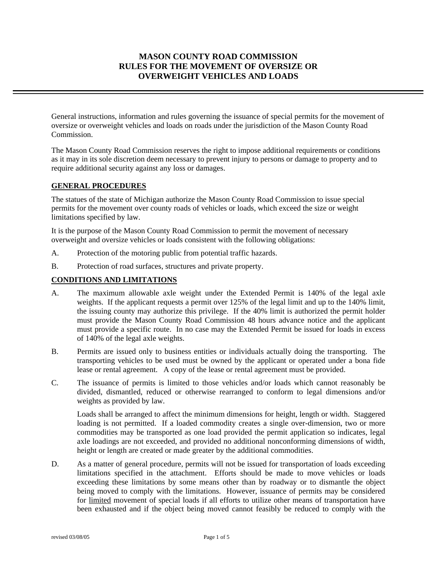# **MASON COUNTY ROAD COMMISSION RULES FOR THE MOVEMENT OF OVERSIZE OR OVERWEIGHT VEHICLES AND LOADS**

General instructions, information and rules governing the issuance of special permits for the movement of oversize or overweight vehicles and loads on roads under the jurisdiction of the Mason County Road Commission.

The Mason County Road Commission reserves the right to impose additional requirements or conditions as it may in its sole discretion deem necessary to prevent injury to persons or damage to property and to require additional security against any loss or damages.

# **GENERAL PROCEDURES**

The statues of the state of Michigan authorize the Mason County Road Commission to issue special permits for the movement over county roads of vehicles or loads, which exceed the size or weight limitations specified by law.

It is the purpose of the Mason County Road Commission to permit the movement of necessary overweight and oversize vehicles or loads consistent with the following obligations:

- A. Protection of the motoring public from potential traffic hazards.
- B. Protection of road surfaces, structures and private property.

## **CONDITIONS AND LIMITATIONS**

- A. The maximum allowable axle weight under the Extended Permit is 140% of the legal axle weights. If the applicant requests a permit over 125% of the legal limit and up to the 140% limit, the issuing county may authorize this privilege. If the 40% limit is authorized the permit holder must provide the Mason County Road Commission 48 hours advance notice and the applicant must provide a specific route. In no case may the Extended Permit be issued for loads in excess of 140% of the legal axle weights.
- B. Permits are issued only to business entities or individuals actually doing the transporting. The transporting vehicles to be used must be owned by the applicant or operated under a bona fide lease or rental agreement. A copy of the lease or rental agreement must be provided.
- C. The issuance of permits is limited to those vehicles and/or loads which cannot reasonably be divided, dismantled, reduced or otherwise rearranged to conform to legal dimensions and/or weights as provided by law.

Loads shall be arranged to affect the minimum dimensions for height, length or width. Staggered loading is not permitted. If a loaded commodity creates a single over-dimension, two or more commodities may be transported as one load provided the permit application so indicates, legal axle loadings are not exceeded, and provided no additional nonconforming dimensions of width, height or length are created or made greater by the additional commodities.

D. As a matter of general procedure, permits will not be issued for transportation of loads exceeding limitations specified in the attachment. Efforts should be made to move vehicles or loads exceeding these limitations by some means other than by roadway or to dismantle the object being moved to comply with the limitations. However, issuance of permits may be considered for limited movement of special loads if all efforts to utilize other means of transportation have been exhausted and if the object being moved cannot feasibly be reduced to comply with the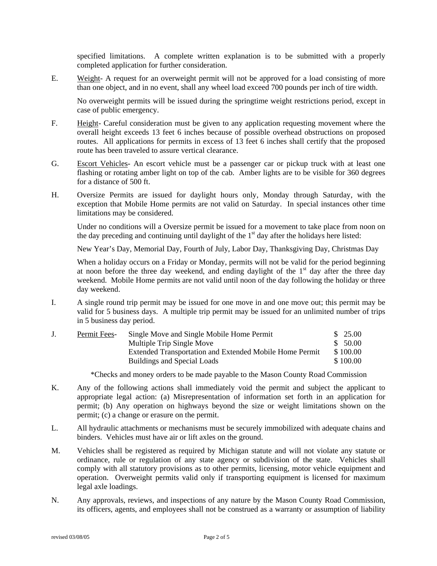specified limitations. A complete written explanation is to be submitted with a properly completed application for further consideration.

E. Weight- A request for an overweight permit will not be approved for a load consisting of more than one object, and in no event, shall any wheel load exceed 700 pounds per inch of tire width.

No overweight permits will be issued during the springtime weight restrictions period, except in case of public emergency.

- F. Height- Careful consideration must be given to any application requesting movement where the overall height exceeds 13 feet 6 inches because of possible overhead obstructions on proposed routes. All applications for permits in excess of 13 feet 6 inches shall certify that the proposed route has been traveled to assure vertical clearance.
- G. Escort Vehicles- An escort vehicle must be a passenger car or pickup truck with at least one flashing or rotating amber light on top of the cab. Amber lights are to be visible for 360 degrees for a distance of 500 ft.
- H. Oversize Permits are issued for daylight hours only, Monday through Saturday, with the exception that Mobile Home permits are not valid on Saturday. In special instances other time limitations may be considered.

Under no conditions will a Oversize permit be issued for a movement to take place from noon on the day preceding and continuing until daylight of the  $1<sup>st</sup>$  day after the holidays here listed:

New Year's Day, Memorial Day, Fourth of July, Labor Day, Thanksgiving Day, Christmas Day

When a holiday occurs on a Friday or Monday, permits will not be valid for the period beginning at noon before the three day weekend, and ending daylight of the  $1<sup>st</sup>$  day after the three day weekend. Mobile Home permits are not valid until noon of the day following the holiday or three day weekend.

I. A single round trip permit may be issued for one move in and one move out; this permit may be valid for 5 business days. A multiple trip permit may be issued for an unlimited number of trips in 5 business day period.

| Permit Fees- | Single Move and Single Mobile Home Permit               | \$25.00  |
|--------------|---------------------------------------------------------|----------|
|              | Multiple Trip Single Move                               | \$ 50.00 |
|              | Extended Transportation and Extended Mobile Home Permit | \$100.00 |
|              | Buildings and Special Loads                             | \$100.00 |
|              |                                                         |          |

\*Checks and money orders to be made payable to the Mason County Road Commission

- K. Any of the following actions shall immediately void the permit and subject the applicant to appropriate legal action: (a) Misrepresentation of information set forth in an application for permit; (b) Any operation on highways beyond the size or weight limitations shown on the permit; (c) a change or erasure on the permit.
- L. All hydraulic attachments or mechanisms must be securely immobilized with adequate chains and binders. Vehicles must have air or lift axles on the ground.
- M. Vehicles shall be registered as required by Michigan statute and will not violate any statute or ordinance, rule or regulation of any state agency or subdivision of the state. Vehicles shall comply with all statutory provisions as to other permits, licensing, motor vehicle equipment and operation. Overweight permits valid only if transporting equipment is licensed for maximum legal axle loadings.
- N. Any approvals, reviews, and inspections of any nature by the Mason County Road Commission, its officers, agents, and employees shall not be construed as a warranty or assumption of liability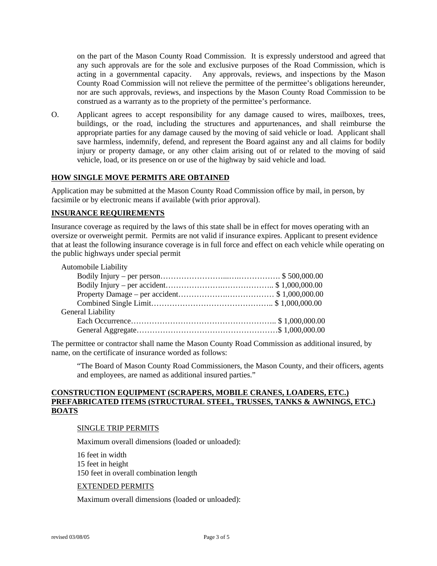on the part of the Mason County Road Commission. It is expressly understood and agreed that any such approvals are for the sole and exclusive purposes of the Road Commission, which is acting in a governmental capacity. Any approvals, reviews, and inspections by the Mason County Road Commission will not relieve the permittee of the permittee's obligations hereunder, nor are such approvals, reviews, and inspections by the Mason County Road Commission to be construed as a warranty as to the propriety of the permittee's performance.

O. Applicant agrees to accept responsibility for any damage caused to wires, mailboxes, trees, buildings, or the road, including the structures and appurtenances, and shall reimburse the appropriate parties for any damage caused by the moving of said vehicle or load. Applicant shall save harmless, indemnify, defend, and represent the Board against any and all claims for bodily injury or property damage, or any other claim arising out of or related to the moving of said vehicle, load, or its presence on or use of the highway by said vehicle and load.

### **HOW SINGLE MOVE PERMITS ARE OBTAINED**

Application may be submitted at the Mason County Road Commission office by mail, in person, by facsimile or by electronic means if available (with prior approval).

### **INSURANCE REQUIREMENTS**

Insurance coverage as required by the laws of this state shall be in effect for moves operating with an oversize or overweight permit. Permits are not valid if insurance expires. Applicant to present evidence that at least the following insurance coverage is in full force and effect on each vehicle while operating on the public highways under special permit

| <b>Automobile Liability</b> |  |
|-----------------------------|--|
|                             |  |
|                             |  |
|                             |  |
|                             |  |
| General Liability           |  |
|                             |  |
|                             |  |

The permittee or contractor shall name the Mason County Road Commission as additional insured, by name, on the certificate of insurance worded as follows:

"The Board of Mason County Road Commissioners, the Mason County, and their officers, agents and employees, are named as additional insured parties."

### **CONSTRUCTION EQUIPMENT (SCRAPERS, MOBILE CRANES, LOADERS, ETC.) PREFABRICATED ITEMS (STRUCTURAL STEEL, TRUSSES, TANKS & AWNINGS, ETC.) BOATS**

### SINGLE TRIP PERMITS

Maximum overall dimensions (loaded or unloaded):

16 feet in width 15 feet in height 150 feet in overall combination length

### EXTENDED PERMITS

Maximum overall dimensions (loaded or unloaded):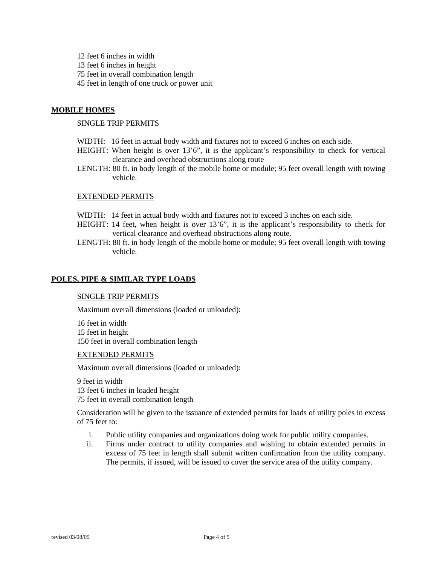12 feet 6 inches in width 13 feet 6 inches in height 75 feet in overall combination length 45 feet in length of one truck or power unit

# **MOBILE HOMES**

### SINGLE TRIP PERMITS

- WIDTH: 16 feet in actual body width and fixtures not to exceed 6 inches on each side.
- HEIGHT: When height is over 13'6", it is the applicant's responsibility to check for vertical clearance and overhead obstructions along route
- LENGTH: 80 ft. in body length of the mobile home or module; 95 feet overall length with towing vehicle.

### EXTENDED PERMITS

- WIDTH: 14 feet in actual body width and fixtures not to exceed 3 inches on each side.
- HEIGHT: 14 feet, when height is over 13'6", it is the applicant's responsibility to check for vertical clearance and overhead obstructions along route.
- LENGTH: 80 ft. in body length of the mobile home or module; 95 feet overall length with towing vehicle.

### **POLES, PIPE & SIMILAR TYPE LOADS**

### SINGLE TRIP PERMITS

Maximum overall dimensions (loaded or unloaded):

16 feet in width 15 feet in height 150 feet in overall combination length

### EXTENDED PERMITS

Maximum overall dimensions (loaded or unloaded):

9 feet in width 13 feet 6 inches in loaded height 75 feet in overall combination length

Consideration will be given to the issuance of extended permits for loads of utility poles in excess of 75 feet to:

- i. Public utility companies and organizations doing work for public utility companies.
- ii. Firms under contract to utility companies and wishing to obtain extended permits in excess of 75 feet in length shall submit written confirmation from the utility company. The permits, if issued, will be issued to cover the service area of the utility company.